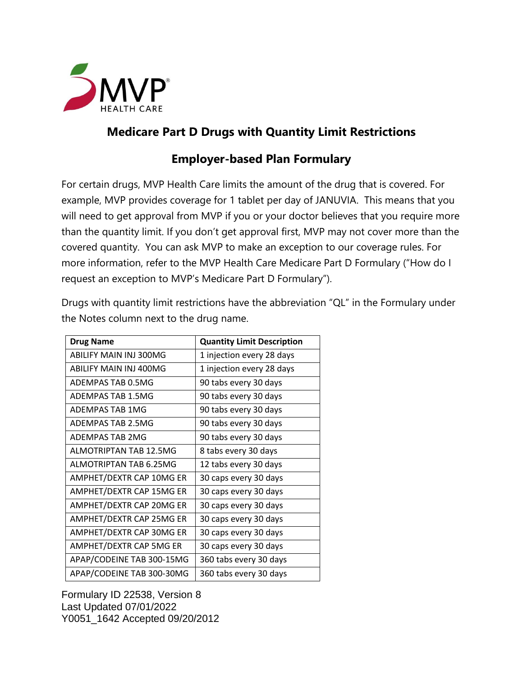

## **Medicare Part D Drugs with Quantity Limit Restrictions**

## **Employer-based Plan Formulary**

For certain drugs, MVP Health Care limits the amount of the drug that is covered. For example, MVP provides coverage for 1 tablet per day of JANUVIA. This means that you will need to get approval from MVP if you or your doctor believes that you require more than the quantity limit. If you don't get approval first, MVP may not cover more than the covered quantity. You can ask MVP to make an exception to our coverage rules. For more information, refer to the MVP Health Care Medicare Part D Formulary ("How do I request an exception to MVP's Medicare Part D Formulary").

Drugs with quantity limit restrictions have the abbreviation "QL" in the Formulary under the Notes column next to the drug name.

| <b>Drug Name</b>          | <b>Quantity Limit Description</b> |
|---------------------------|-----------------------------------|
| ABILIFY MAIN INI 300MG    | 1 injection every 28 days         |
| ABILIFY MAIN INJ 400MG    | 1 injection every 28 days         |
| ADEMPAS TAB 0.5MG         | 90 tabs every 30 days             |
| ADEMPAS TAB 1.5MG         | 90 tabs every 30 days             |
| ADEMPAS TAB 1MG           | 90 tabs every 30 days             |
| ADEMPAS TAB 2.5MG         | 90 tabs every 30 days             |
| ADEMPAS TAB 2MG           | 90 tabs every 30 days             |
| ALMOTRIPTAN TAB 12.5MG    | 8 tabs every 30 days              |
| ALMOTRIPTAN TAB 6.25MG    | 12 tabs every 30 days             |
| AMPHET/DEXTR CAP 10MG ER  | 30 caps every 30 days             |
| AMPHET/DEXTR CAP 15MG ER  | 30 caps every 30 days             |
| AMPHET/DEXTR CAP 20MG ER  | 30 caps every 30 days             |
| AMPHET/DEXTR CAP 25MG ER  | 30 caps every 30 days             |
| AMPHET/DEXTR CAP 30MG ER  | 30 caps every 30 days             |
| AMPHET/DEXTR CAP 5MG ER   | 30 caps every 30 days             |
| APAP/CODEINE TAB 300-15MG | 360 tabs every 30 days            |
| APAP/CODEINE TAB 300-30MG | 360 tabs every 30 days            |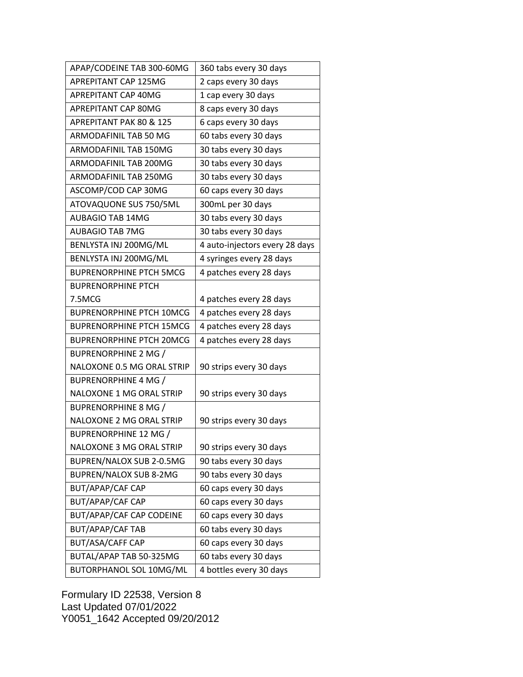| APAP/CODEINE TAB 300-60MG       | 360 tabs every 30 days         |
|---------------------------------|--------------------------------|
| APREPITANT CAP 125MG            | 2 caps every 30 days           |
| APREPITANT CAP 40MG             | 1 cap every 30 days            |
| APREPITANT CAP 80MG             | 8 caps every 30 days           |
| APREPITANT PAK 80 & 125         | 6 caps every 30 days           |
| ARMODAFINIL TAB 50 MG           | 60 tabs every 30 days          |
| ARMODAFINIL TAB 150MG           | 30 tabs every 30 days          |
| ARMODAFINIL TAB 200MG           | 30 tabs every 30 days          |
| ARMODAFINIL TAB 250MG           | 30 tabs every 30 days          |
| ASCOMP/COD CAP 30MG             | 60 caps every 30 days          |
| ATOVAQUONE SUS 750/5ML          | 300mL per 30 days              |
| <b>AUBAGIO TAB 14MG</b>         | 30 tabs every 30 days          |
| <b>AUBAGIO TAB 7MG</b>          | 30 tabs every 30 days          |
| BENLYSTA INJ 200MG/ML           | 4 auto-injectors every 28 days |
| BENLYSTA INJ 200MG/ML           | 4 syringes every 28 days       |
| <b>BUPRENORPHINE PTCH 5MCG</b>  | 4 patches every 28 days        |
| <b>BUPRENORPHINE PTCH</b>       |                                |
| 7.5MCG                          | 4 patches every 28 days        |
| <b>BUPRENORPHINE PTCH 10MCG</b> | 4 patches every 28 days        |
| <b>BUPRENORPHINE PTCH 15MCG</b> | 4 patches every 28 days        |
| <b>BUPRENORPHINE PTCH 20MCG</b> | 4 patches every 28 days        |
| <b>BUPRENORPHINE 2 MG /</b>     |                                |
| NALOXONE 0.5 MG ORAL STRIP      | 90 strips every 30 days        |
| <b>BUPRENORPHINE 4 MG /</b>     |                                |
| NALOXONE 1 MG ORAL STRIP        | 90 strips every 30 days        |
| <b>BUPRENORPHINE 8 MG /</b>     |                                |
| NALOXONE 2 MG ORAL STRIP        | 90 strips every 30 days        |
| <b>BUPRENORPHINE 12 MG /</b>    |                                |
| NALOXONE 3 MG ORAL STRIP        | 90 strips every 30 days        |
| BUPREN/NALOX SUB 2-0.5MG        | 90 tabs every 30 days          |
| BUPREN/NALOX SUB 8-2MG          | 90 tabs every 30 days          |
| <b>BUT/APAP/CAF CAP</b>         | 60 caps every 30 days          |
| BUT/APAP/CAF CAP                | 60 caps every 30 days          |
| BUT/APAP/CAF CAP CODEINE        | 60 caps every 30 days          |
| <b>BUT/APAP/CAF TAB</b>         | 60 tabs every 30 days          |
| <b>BUT/ASA/CAFF CAP</b>         | 60 caps every 30 days          |
| BUTAL/APAP TAB 50-325MG         | 60 tabs every 30 days          |
| BUTORPHANOL SOL 10MG/ML         | 4 bottles every 30 days        |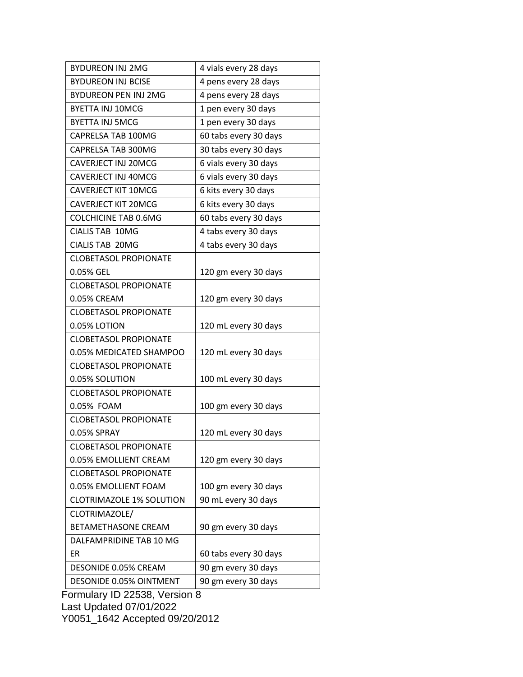| <b>BYDUREON INJ 2MG</b>         | 4 vials every 28 days |
|---------------------------------|-----------------------|
| <b>BYDUREON INJ BCISE</b>       | 4 pens every 28 days  |
| <b>BYDUREON PEN INJ 2MG</b>     | 4 pens every 28 days  |
| <b>BYETTA INJ 10MCG</b>         | 1 pen every 30 days   |
| <b>BYETTA INJ 5MCG</b>          | 1 pen every 30 days   |
| CAPRELSA TAB 100MG              | 60 tabs every 30 days |
| CAPRELSA TAB 300MG              | 30 tabs every 30 days |
| <b>CAVERJECT INJ 20MCG</b>      | 6 vials every 30 days |
| <b>CAVERJECT INJ 40MCG</b>      | 6 vials every 30 days |
| <b>CAVERJECT KIT 10MCG</b>      | 6 kits every 30 days  |
| <b>CAVERJECT KIT 20MCG</b>      | 6 kits every 30 days  |
| <b>COLCHICINE TAB 0.6MG</b>     | 60 tabs every 30 days |
| CIALIS TAB 10MG                 | 4 tabs every 30 days  |
| <b>CIALIS TAB 20MG</b>          | 4 tabs every 30 days  |
| <b>CLOBETASOL PROPIONATE</b>    |                       |
| 0.05% GEL                       | 120 gm every 30 days  |
| <b>CLOBETASOL PROPIONATE</b>    |                       |
| 0.05% CREAM                     | 120 gm every 30 days  |
| <b>CLOBETASOL PROPIONATE</b>    |                       |
| 0.05% LOTION                    | 120 mL every 30 days  |
| <b>CLOBETASOL PROPIONATE</b>    |                       |
| 0.05% MEDICATED SHAMPOO         | 120 mL every 30 days  |
| <b>CLOBETASOL PROPIONATE</b>    |                       |
| 0.05% SOLUTION                  | 100 mL every 30 days  |
| <b>CLOBETASOL PROPIONATE</b>    |                       |
| 0.05% FOAM                      | 100 gm every 30 days  |
| <b>CLOBETASOL PROPIONATE</b>    |                       |
| 0.05% SPRAY                     | 120 mL every 30 days  |
| CLOBETASOL PROPIONATE           |                       |
| 0.05% EMOLLIENT CREAM           | 120 gm every 30 days  |
| <b>CLOBETASOL PROPIONATE</b>    |                       |
| 0.05% EMOLLIENT FOAM            | 100 gm every 30 days  |
| <b>CLOTRIMAZOLE 1% SOLUTION</b> | 90 mL every 30 days   |
| CLOTRIMAZOLE/                   |                       |
| BETAMETHASONE CREAM             | 90 gm every 30 days   |
| DALFAMPRIDINE TAB 10 MG         |                       |
| ER                              | 60 tabs every 30 days |
| DESONIDE 0.05% CREAM            | 90 gm every 30 days   |
| DESONIDE 0.05% OINTMENT         | 90 gm every 30 days   |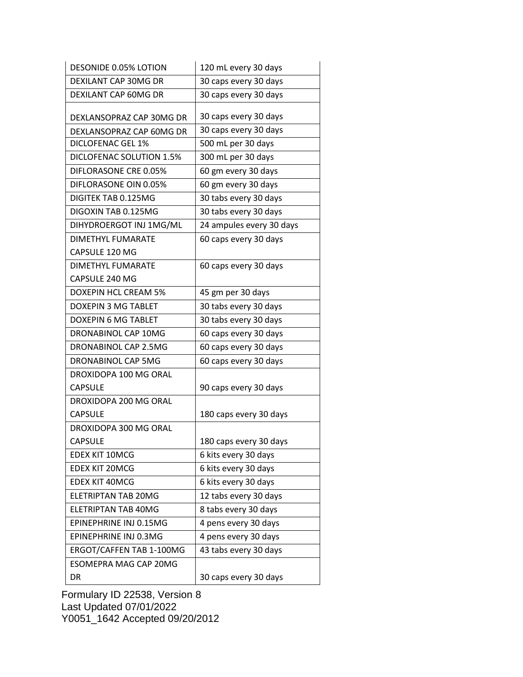| <b>DESONIDE 0.05% LOTION</b> | 120 mL every 30 days     |
|------------------------------|--------------------------|
| DEXILANT CAP 30MG DR         | 30 caps every 30 days    |
| DEXILANT CAP 60MG DR         | 30 caps every 30 days    |
|                              |                          |
| DEXLANSOPRAZ CAP 30MG DR     | 30 caps every 30 days    |
| DEXLANSOPRAZ CAP 60MG DR     | 30 caps every 30 days    |
| DICLOFENAC GEL 1%            | 500 mL per 30 days       |
| DICLOFENAC SOLUTION 1.5%     | 300 mL per 30 days       |
| DIFLORASONE CRE 0.05%        | 60 gm every 30 days      |
| DIFLORASONE OIN 0.05%        | 60 gm every 30 days      |
| DIGITEK TAB 0.125MG          | 30 tabs every 30 days    |
| DIGOXIN TAB 0.125MG          | 30 tabs every 30 days    |
| DIHYDROERGOT INJ 1MG/ML      | 24 ampules every 30 days |
| <b>DIMETHYL FUMARATE</b>     | 60 caps every 30 days    |
| CAPSULE 120 MG               |                          |
| DIMETHYL FUMARATE            | 60 caps every 30 days    |
| CAPSULE 240 MG               |                          |
| <b>DOXEPIN HCL CREAM 5%</b>  | 45 gm per 30 days        |
| DOXEPIN 3 MG TABLET          | 30 tabs every 30 days    |
| <b>DOXEPIN 6 MG TABLET</b>   | 30 tabs every 30 days    |
| DRONABINOL CAP 10MG          | 60 caps every 30 days    |
| DRONABINOL CAP 2.5MG         | 60 caps every 30 days    |
| DRONABINOL CAP 5MG           | 60 caps every 30 days    |
| DROXIDOPA 100 MG ORAL        |                          |
| <b>CAPSULE</b>               | 90 caps every 30 days    |
| DROXIDOPA 200 MG ORAL        |                          |
| <b>CAPSULE</b>               | 180 caps every 30 days   |
| DROXIDOPA 300 MG ORAL        |                          |
| <b>CAPSULE</b>               | 180 caps every 30 days   |
| <b>EDEX KIT 10MCG</b>        | 6 kits every 30 days     |
| <b>EDEX KIT 20MCG</b>        | 6 kits every 30 days     |
| <b>EDEX KIT 40MCG</b>        | 6 kits every 30 days     |
| ELETRIPTAN TAB 20MG          | 12 tabs every 30 days    |
| ELETRIPTAN TAB 40MG          | 8 tabs every 30 days     |
| EPINEPHRINE INJ 0.15MG       | 4 pens every 30 days     |
| EPINEPHRINE INJ 0.3MG        | 4 pens every 30 days     |
| ERGOT/CAFFEN TAB 1-100MG     | 43 tabs every 30 days    |
| <b>ESOMEPRA MAG CAP 20MG</b> |                          |
| DR                           | 30 caps every 30 days    |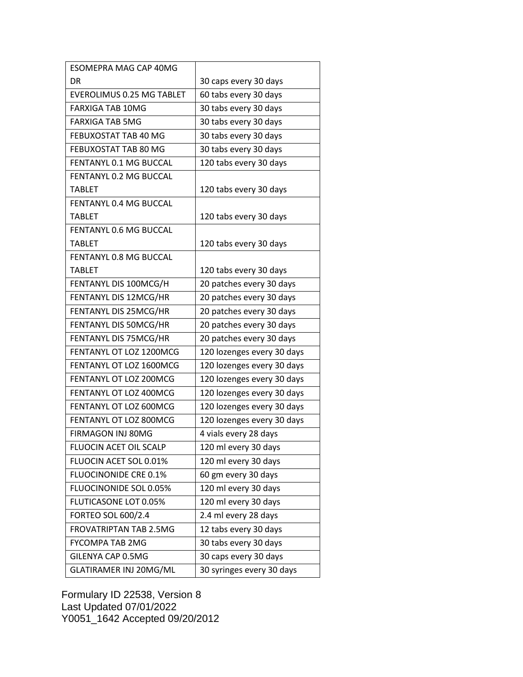| <b>ESOMEPRA MAG CAP 40MG</b>  |                            |
|-------------------------------|----------------------------|
| DR                            | 30 caps every 30 days      |
| EVEROLIMUS 0.25 MG TABLET     | 60 tabs every 30 days      |
| <b>FARXIGA TAB 10MG</b>       | 30 tabs every 30 days      |
| <b>FARXIGA TAB 5MG</b>        | 30 tabs every 30 days      |
| FEBUXOSTAT TAB 40 MG          | 30 tabs every 30 days      |
| FEBUXOSTAT TAB 80 MG          | 30 tabs every 30 days      |
| FENTANYL 0.1 MG BUCCAL        | 120 tabs every 30 days     |
| FENTANYL 0.2 MG BUCCAL        |                            |
| <b>TABLET</b>                 | 120 tabs every 30 days     |
| <b>FENTANYL 0.4 MG BUCCAL</b> |                            |
| <b>TABLET</b>                 | 120 tabs every 30 days     |
| <b>FENTANYL 0.6 MG BUCCAL</b> |                            |
| <b>TABLET</b>                 | 120 tabs every 30 days     |
| <b>FENTANYL 0.8 MG BUCCAL</b> |                            |
| <b>TABLET</b>                 | 120 tabs every 30 days     |
| FENTANYL DIS 100MCG/H         | 20 patches every 30 days   |
| FENTANYL DIS 12MCG/HR         | 20 patches every 30 days   |
| FENTANYL DIS 25MCG/HR         | 20 patches every 30 days   |
| FENTANYL DIS 50MCG/HR         | 20 patches every 30 days   |
| FENTANYL DIS 75MCG/HR         | 20 patches every 30 days   |
| FENTANYL OT LOZ 1200MCG       | 120 lozenges every 30 days |
| FENTANYL OT LOZ 1600MCG       | 120 lozenges every 30 days |
| FENTANYL OT LOZ 200MCG        | 120 lozenges every 30 days |
| <b>FENTANYL OT LOZ 400MCG</b> | 120 lozenges every 30 days |
| FENTANYL OT LOZ 600MCG        | 120 lozenges every 30 days |
| <b>FENTANYL OT LOZ 800MCG</b> | 120 lozenges every 30 days |
| FIRMAGON INJ 80MG             | 4 vials every 28 days      |
| FLUOCIN ACET OIL SCALP        | 120 ml every 30 days       |
| FLUOCIN ACET SOL 0.01%        | 120 ml every 30 days       |
| <b>FLUOCINONIDE CRE 0.1%</b>  | 60 gm every 30 days        |
| FLUOCINONIDE SOL 0.05%        | 120 ml every 30 days       |
| FLUTICASONE LOT 0.05%         | 120 ml every 30 days       |
| <b>FORTEO SOL 600/2.4</b>     | 2.4 ml every 28 days       |
| <b>FROVATRIPTAN TAB 2.5MG</b> | 12 tabs every 30 days      |
| <b>FYCOMPA TAB 2MG</b>        | 30 tabs every 30 days      |
| GILENYA CAP 0.5MG             | 30 caps every 30 days      |
| GLATIRAMER INJ 20MG/ML        | 30 syringes every 30 days  |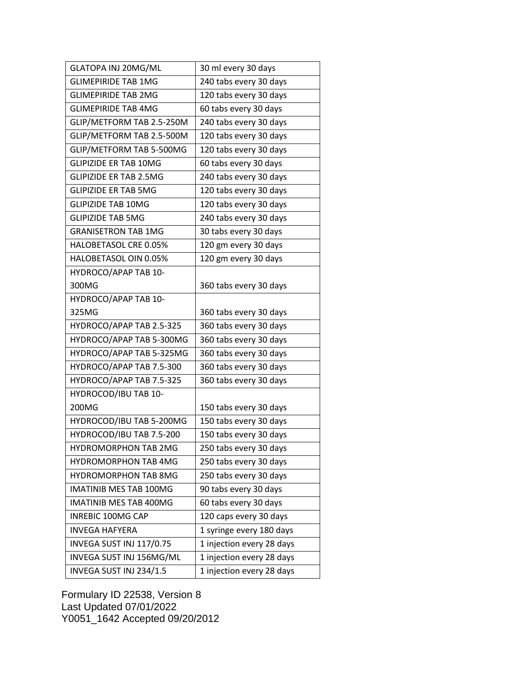| GLATOPA INJ 20MG/ML           | 30 ml every 30 days       |
|-------------------------------|---------------------------|
| <b>GLIMEPIRIDE TAB 1MG</b>    | 240 tabs every 30 days    |
| <b>GLIMEPIRIDE TAB 2MG</b>    | 120 tabs every 30 days    |
| <b>GLIMEPIRIDE TAB 4MG</b>    | 60 tabs every 30 days     |
| GLIP/METFORM TAB 2.5-250M     | 240 tabs every 30 days    |
| GLIP/METFORM TAB 2.5-500M     | 120 tabs every 30 days    |
| GLIP/METFORM TAB 5-500MG      | 120 tabs every 30 days    |
| <b>GLIPIZIDE ER TAB 10MG</b>  | 60 tabs every 30 days     |
| <b>GLIPIZIDE ER TAB 2.5MG</b> | 240 tabs every 30 days    |
| <b>GLIPIZIDE ER TAB 5MG</b>   | 120 tabs every 30 days    |
| <b>GLIPIZIDE TAB 10MG</b>     | 120 tabs every 30 days    |
| <b>GLIPIZIDE TAB 5MG</b>      | 240 tabs every 30 days    |
| <b>GRANISETRON TAB 1MG</b>    | 30 tabs every 30 days     |
| HALOBETASOL CRE 0.05%         | 120 gm every 30 days      |
| HALOBETASOL OIN 0.05%         | 120 gm every 30 days      |
| HYDROCO/APAP TAB 10-          |                           |
| 300MG                         | 360 tabs every 30 days    |
| HYDROCO/APAP TAB 10-          |                           |
| 325MG                         | 360 tabs every 30 days    |
| HYDROCO/APAP TAB 2.5-325      | 360 tabs every 30 days    |
| HYDROCO/APAP TAB 5-300MG      | 360 tabs every 30 days    |
| HYDROCO/APAP TAB 5-325MG      | 360 tabs every 30 days    |
| HYDROCO/APAP TAB 7.5-300      | 360 tabs every 30 days    |
| HYDROCO/APAP TAB 7.5-325      | 360 tabs every 30 days    |
| HYDROCOD/IBU TAB 10-          |                           |
| 200MG                         | 150 tabs every 30 days    |
| HYDROCOD/IBU TAB 5-200MG      | 150 tabs every 30 days    |
| HYDROCOD/IBU TAB 7.5-200      | 150 tabs every 30 days    |
| <b>HYDROMORPHON TAB 2MG</b>   | 250 tabs every 30 days    |
| <b>HYDROMORPHON TAB 4MG</b>   | 250 tabs every 30 days    |
| <b>HYDROMORPHON TAB 8MG</b>   | 250 tabs every 30 days    |
| <b>IMATINIB MES TAB 100MG</b> | 90 tabs every 30 days     |
| IMATINIB MES TAB 400MG        | 60 tabs every 30 days     |
| <b>INREBIC 100MG CAP</b>      | 120 caps every 30 days    |
| <b>INVEGA HAFYERA</b>         | 1 syringe every 180 days  |
| INVEGA SUST INJ 117/0.75      | 1 injection every 28 days |
| INVEGA SUST INJ 156MG/ML      | 1 injection every 28 days |
| INVEGA SUST INJ 234/1.5       | 1 injection every 28 days |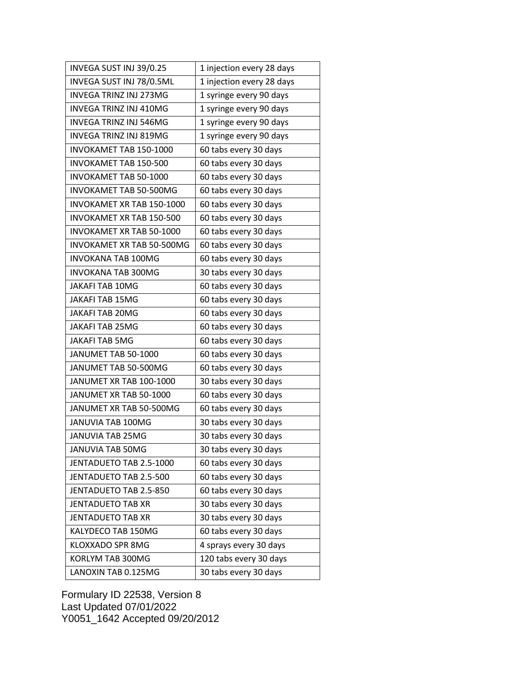| INVEGA SUST INJ 39/0.25         | 1 injection every 28 days |
|---------------------------------|---------------------------|
| INVEGA SUST INJ 78/0.5ML        | 1 injection every 28 days |
| <b>INVEGA TRINZ INJ 273MG</b>   | 1 syringe every 90 days   |
| INVEGA TRINZ INJ 410MG          | 1 syringe every 90 days   |
| <b>INVEGA TRINZ INJ 546MG</b>   | 1 syringe every 90 days   |
| INVEGA TRINZ INJ 819MG          | 1 syringe every 90 days   |
| INVOKAMET TAB 150-1000          | 60 tabs every 30 days     |
| <b>INVOKAMET TAB 150-500</b>    | 60 tabs every 30 days     |
| <b>INVOKAMET TAB 50-1000</b>    | 60 tabs every 30 days     |
| INVOKAMET TAB 50-500MG          | 60 tabs every 30 days     |
| INVOKAMET XR TAB 150-1000       | 60 tabs every 30 days     |
| <b>INVOKAMET XR TAB 150-500</b> | 60 tabs every 30 days     |
| INVOKAMET XR TAB 50-1000        | 60 tabs every 30 days     |
| INVOKAMET XR TAB 50-500MG       | 60 tabs every 30 days     |
| <b>INVOKANA TAB 100MG</b>       | 60 tabs every 30 days     |
| <b>INVOKANA TAB 300MG</b>       | 30 tabs every 30 days     |
| <b>JAKAFI TAB 10MG</b>          | 60 tabs every 30 days     |
| JAKAFI TAB 15MG                 | 60 tabs every 30 days     |
| <b>JAKAFI TAB 20MG</b>          | 60 tabs every 30 days     |
| JAKAFI TAB 25MG                 | 60 tabs every 30 days     |
| JAKAFI TAB 5MG                  | 60 tabs every 30 days     |
| JANUMET TAB 50-1000             | 60 tabs every 30 days     |
| JANUMET TAB 50-500MG            | 60 tabs every 30 days     |
| JANUMET XR TAB 100-1000         | 30 tabs every 30 days     |
| JANUMET XR TAB 50-1000          | 60 tabs every 30 days     |
| JANUMET XR TAB 50-500MG         | 60 tabs every 30 days     |
| JANUVIA TAB 100MG               | 30 tabs every 30 days     |
| <b>JANUVIA TAB 25MG</b>         | 30 tabs every 30 days     |
| JANUVIA TAB 50MG                | 30 tabs every 30 days     |
| JENTADUETO TAB 2.5-1000         | 60 tabs every 30 days     |
| JENTADUETO TAB 2.5-500          | 60 tabs every 30 days     |
| JENTADUETO TAB 2.5-850          | 60 tabs every 30 days     |
| <b>JENTADUETO TAB XR</b>        | 30 tabs every 30 days     |
| <b>JENTADUETO TAB XR</b>        | 30 tabs every 30 days     |
| KALYDECO TAB 150MG              | 60 tabs every 30 days     |
| KLOXXADO SPR 8MG                | 4 sprays every 30 days    |
| KORLYM TAB 300MG                | 120 tabs every 30 days    |
| LANOXIN TAB 0.125MG             | 30 tabs every 30 days     |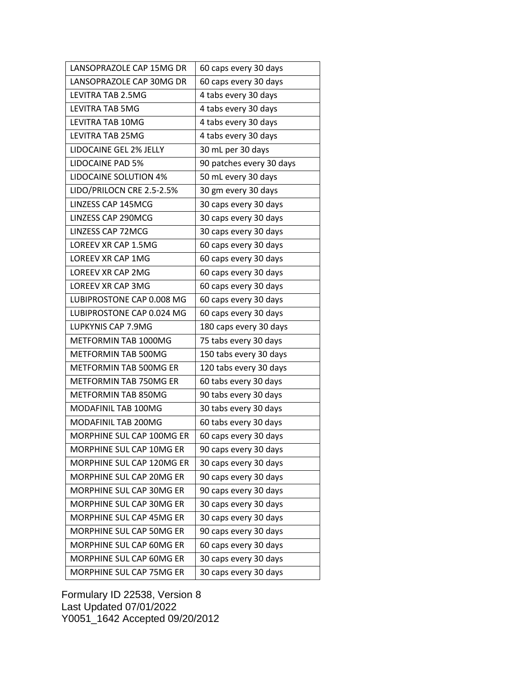| LANSOPRAZOLE CAP 15MG DR      | 60 caps every 30 days    |
|-------------------------------|--------------------------|
| LANSOPRAZOLE CAP 30MG DR      | 60 caps every 30 days    |
| LEVITRA TAB 2.5MG             | 4 tabs every 30 days     |
| <b>LEVITRA TAB 5MG</b>        | 4 tabs every 30 days     |
| LEVITRA TAB 10MG              | 4 tabs every 30 days     |
| <b>LEVITRA TAB 25MG</b>       | 4 tabs every 30 days     |
| LIDOCAINE GEL 2% JELLY        | 30 mL per 30 days        |
| LIDOCAINE PAD 5%              | 90 patches every 30 days |
| <b>LIDOCAINE SOLUTION 4%</b>  | 50 mL every 30 days      |
| LIDO/PRILOCN CRE 2.5-2.5%     | 30 gm every 30 days      |
| LINZESS CAP 145MCG            | 30 caps every 30 days    |
| <b>LINZESS CAP 290MCG</b>     | 30 caps every 30 days    |
| <b>LINZESS CAP 72MCG</b>      | 30 caps every 30 days    |
| LOREEV XR CAP 1.5MG           | 60 caps every 30 days    |
| LOREEV XR CAP 1MG             | 60 caps every 30 days    |
| LOREEV XR CAP 2MG             | 60 caps every 30 days    |
| LOREEV XR CAP 3MG             | 60 caps every 30 days    |
| LUBIPROSTONE CAP 0.008 MG     | 60 caps every 30 days    |
| LUBIPROSTONE CAP 0.024 MG     | 60 caps every 30 days    |
| LUPKYNIS CAP 7.9MG            | 180 caps every 30 days   |
| METFORMIN TAB 1000MG          | 75 tabs every 30 days    |
| METFORMIN TAB 500MG           | 150 tabs every 30 days   |
| METFORMIN TAB 500MG ER        | 120 tabs every 30 days   |
| <b>METFORMIN TAB 750MG ER</b> | 60 tabs every 30 days    |
| METFORMIN TAB 850MG           | 90 tabs every 30 days    |
| MODAFINIL TAB 100MG           | 30 tabs every 30 days    |
| MODAFINIL TAB 200MG           | 60 tabs every 30 days    |
| MORPHINE SUL CAP 100MG ER     | 60 caps every 30 days    |
| MORPHINE SUL CAP 10MG ER      | 90 caps every 30 days    |
| MORPHINE SUL CAP 120MG ER     | 30 caps every 30 days    |
| MORPHINE SUL CAP 20MG ER      | 90 caps every 30 days    |
| MORPHINE SUL CAP 30MG ER      | 90 caps every 30 days    |
| MORPHINE SUL CAP 30MG ER      | 30 caps every 30 days    |
| MORPHINE SUL CAP 45MG ER      | 30 caps every 30 days    |
| MORPHINE SUL CAP 50MG ER      | 90 caps every 30 days    |
| MORPHINE SUL CAP 60MG ER      | 60 caps every 30 days    |
| MORPHINE SUL CAP 60MG ER      | 30 caps every 30 days    |
| MORPHINE SUL CAP 75MG ER      | 30 caps every 30 days    |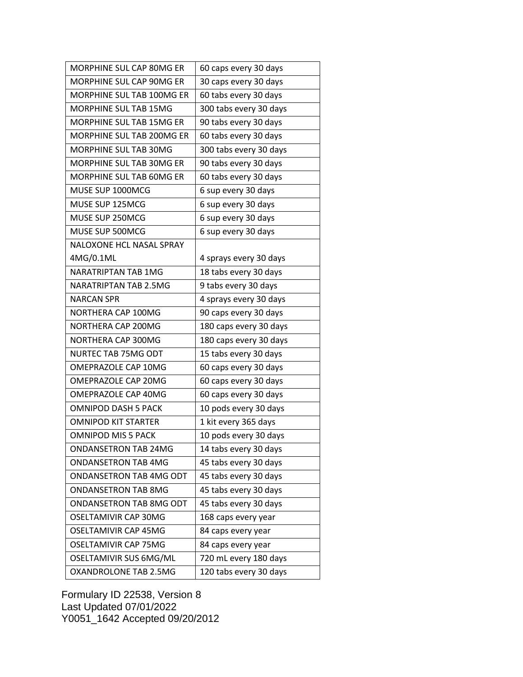| MORPHINE SUL CAP 80MG ER     | 60 caps every 30 days  |
|------------------------------|------------------------|
| MORPHINE SUL CAP 90MG ER     | 30 caps every 30 days  |
| MORPHINE SUL TAB 100MG ER    | 60 tabs every 30 days  |
| <b>MORPHINE SUL TAB 15MG</b> | 300 tabs every 30 days |
| MORPHINE SUL TAB 15MG ER     | 90 tabs every 30 days  |
| MORPHINE SUL TAB 200MG ER    | 60 tabs every 30 days  |
| MORPHINE SUL TAB 30MG        | 300 tabs every 30 days |
| MORPHINE SUL TAB 30MG ER     | 90 tabs every 30 days  |
| MORPHINE SUL TAB 60MG ER     | 60 tabs every 30 days  |
| MUSE SUP 1000MCG             | 6 sup every 30 days    |
| MUSE SUP 125MCG              | 6 sup every 30 days    |
| MUSE SUP 250MCG              | 6 sup every 30 days    |
| MUSE SUP 500MCG              | 6 sup every 30 days    |
| NALOXONE HCL NASAL SPRAY     |                        |
| 4MG/0.1ML                    | 4 sprays every 30 days |
| NARATRIPTAN TAB 1MG          | 18 tabs every 30 days  |
| <b>NARATRIPTAN TAB 2.5MG</b> | 9 tabs every 30 days   |
| <b>NARCAN SPR</b>            | 4 sprays every 30 days |
| NORTHERA CAP 100MG           | 90 caps every 30 days  |
| NORTHERA CAP 200MG           | 180 caps every 30 days |
| NORTHERA CAP 300MG           | 180 caps every 30 days |
| NURTEC TAB 75MG ODT          | 15 tabs every 30 days  |
| OMEPRAZOLE CAP 10MG          | 60 caps every 30 days  |
| OMEPRAZOLE CAP 20MG          | 60 caps every 30 days  |
| OMEPRAZOLE CAP 40MG          | 60 caps every 30 days  |
| <b>OMNIPOD DASH 5 PACK</b>   | 10 pods every 30 days  |
| <b>OMNIPOD KIT STARTER</b>   | 1 kit every 365 days   |
| <b>OMNIPOD MIS 5 PACK</b>    | 10 pods every 30 days  |
| <b>ONDANSETRON TAB 24MG</b>  | 14 tabs every 30 days  |
| ONDANSETRON TAB 4MG          | 45 tabs every 30 days  |
| ONDANSETRON TAB 4MG ODT      | 45 tabs every 30 days  |
| <b>ONDANSETRON TAB 8MG</b>   | 45 tabs every 30 days  |
| ONDANSETRON TAB 8MG ODT      | 45 tabs every 30 days  |
| <b>OSELTAMIVIR CAP 30MG</b>  | 168 caps every year    |
| <b>OSELTAMIVIR CAP 45MG</b>  | 84 caps every year     |
| <b>OSELTAMIVIR CAP 75MG</b>  | 84 caps every year     |
| OSELTAMIVIR SUS 6MG/ML       | 720 mL every 180 days  |
| OXANDROLONE TAB 2.5MG        | 120 tabs every 30 days |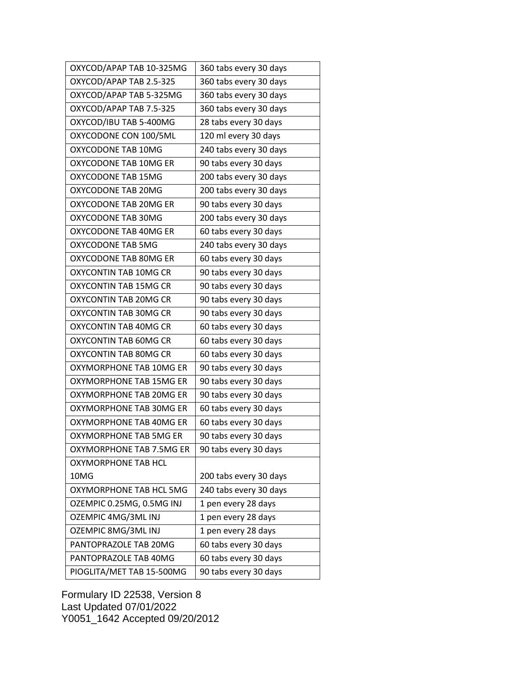| OXYCOD/APAP TAB 10-325MG     | 360 tabs every 30 days |
|------------------------------|------------------------|
| OXYCOD/APAP TAB 2.5-325      | 360 tabs every 30 days |
| OXYCOD/APAP TAB 5-325MG      | 360 tabs every 30 days |
| OXYCOD/APAP TAB 7.5-325      | 360 tabs every 30 days |
| OXYCOD/IBU TAB 5-400MG       | 28 tabs every 30 days  |
| OXYCODONE CON 100/5ML        | 120 ml every 30 days   |
| OXYCODONE TAB 10MG           | 240 tabs every 30 days |
| OXYCODONE TAB 10MG ER        | 90 tabs every 30 days  |
| OXYCODONE TAB 15MG           | 200 tabs every 30 days |
| OXYCODONE TAB 20MG           | 200 tabs every 30 days |
| OXYCODONE TAB 20MG ER        | 90 tabs every 30 days  |
| OXYCODONE TAB 30MG           | 200 tabs every 30 days |
| OXYCODONE TAB 40MG ER        | 60 tabs every 30 days  |
| OXYCODONE TAB 5MG            | 240 tabs every 30 days |
| OXYCODONE TAB 80MG ER        | 60 tabs every 30 days  |
| OXYCONTIN TAB 10MG CR        | 90 tabs every 30 days  |
| <b>OXYCONTIN TAB 15MG CR</b> | 90 tabs every 30 days  |
| OXYCONTIN TAB 20MG CR        | 90 tabs every 30 days  |
| OXYCONTIN TAB 30MG CR        | 90 tabs every 30 days  |
| OXYCONTIN TAB 40MG CR        | 60 tabs every 30 days  |
| OXYCONTIN TAB 60MG CR        | 60 tabs every 30 days  |
| OXYCONTIN TAB 80MG CR        | 60 tabs every 30 days  |
| OXYMORPHONE TAB 10MG ER      | 90 tabs every 30 days  |
| OXYMORPHONE TAB 15MG ER      | 90 tabs every 30 days  |
| OXYMORPHONE TAB 20MG ER      | 90 tabs every 30 days  |
| OXYMORPHONE TAB 30MG ER      | 60 tabs every 30 days  |
| OXYMORPHONE TAB 40MG ER      | 60 tabs every 30 days  |
| OXYMORPHONE TAB 5MG ER       | 90 tabs every 30 days  |
| OXYMORPHONE TAB 7.5MG ER     | 90 tabs every 30 days  |
| OXYMORPHONE TAB HCL          |                        |
| 10MG                         | 200 tabs every 30 days |
| OXYMORPHONE TAB HCL 5MG      | 240 tabs every 30 days |
| OZEMPIC 0.25MG, 0.5MG INJ    | 1 pen every 28 days    |
| OZEMPIC 4MG/3ML INJ          | 1 pen every 28 days    |
| OZEMPIC 8MG/3ML INJ          | 1 pen every 28 days    |
| PANTOPRAZOLE TAB 20MG        | 60 tabs every 30 days  |
| PANTOPRAZOLE TAB 40MG        | 60 tabs every 30 days  |
| PIOGLITA/MET TAB 15-500MG    | 90 tabs every 30 days  |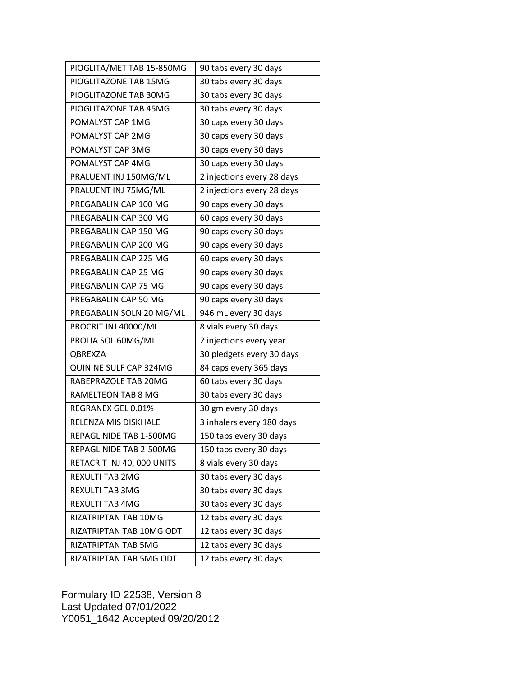| PIOGLITA/MET TAB 15-850MG  | 90 tabs every 30 days      |
|----------------------------|----------------------------|
| PIOGLITAZONE TAB 15MG      | 30 tabs every 30 days      |
| PIOGLITAZONE TAB 30MG      | 30 tabs every 30 days      |
| PIOGLITAZONE TAB 45MG      | 30 tabs every 30 days      |
| POMALYST CAP 1MG           | 30 caps every 30 days      |
| POMALYST CAP 2MG           | 30 caps every 30 days      |
| POMALYST CAP 3MG           | 30 caps every 30 days      |
| POMALYST CAP 4MG           | 30 caps every 30 days      |
| PRALUENT INJ 150MG/ML      | 2 injections every 28 days |
| PRALUENT INJ 75MG/ML       | 2 injections every 28 days |
| PREGABALIN CAP 100 MG      | 90 caps every 30 days      |
| PREGABALIN CAP 300 MG      | 60 caps every 30 days      |
| PREGABALIN CAP 150 MG      | 90 caps every 30 days      |
| PREGABALIN CAP 200 MG      | 90 caps every 30 days      |
| PREGABALIN CAP 225 MG      | 60 caps every 30 days      |
| PREGABALIN CAP 25 MG       | 90 caps every 30 days      |
| PREGABALIN CAP 75 MG       | 90 caps every 30 days      |
| PREGABALIN CAP 50 MG       | 90 caps every 30 days      |
| PREGABALIN SOLN 20 MG/ML   | 946 mL every 30 days       |
| PROCRIT INJ 40000/ML       | 8 vials every 30 days      |
| PROLIA SOL 60MG/ML         | 2 injections every year    |
| QBREXZA                    | 30 pledgets every 30 days  |
| QUININE SULF CAP 324MG     | 84 caps every 365 days     |
| RABEPRAZOLE TAB 20MG       | 60 tabs every 30 days      |
| RAMELTEON TAB 8 MG         | 30 tabs every 30 days      |
| REGRANEX GEL 0.01%         | 30 gm every 30 days        |
| RELENZA MIS DISKHALE       | 3 inhalers every 180 days  |
| REPAGLINIDE TAB 1-500MG    | 150 tabs every 30 days     |
| REPAGLINIDE TAB 2-500MG    | 150 tabs every 30 days     |
| RETACRIT INJ 40, 000 UNITS | 8 vials every 30 days      |
| <b>REXULTI TAB 2MG</b>     | 30 tabs every 30 days      |
| <b>REXULTI TAB 3MG</b>     | 30 tabs every 30 days      |
| REXULTI TAB 4MG            | 30 tabs every 30 days      |
| RIZATRIPTAN TAB 10MG       | 12 tabs every 30 days      |
| RIZATRIPTAN TAB 10MG ODT   | 12 tabs every 30 days      |
| RIZATRIPTAN TAB 5MG        | 12 tabs every 30 days      |
| RIZATRIPTAN TAB 5MG ODT    | 12 tabs every 30 days      |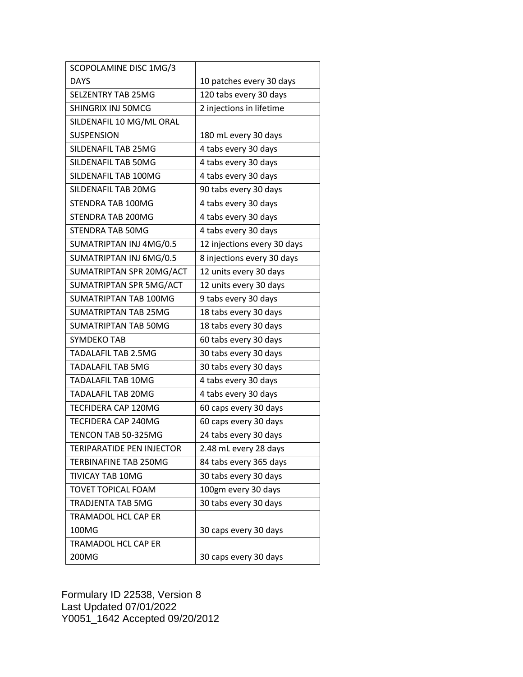| SCOPOLAMINE DISC 1MG/3           |                             |
|----------------------------------|-----------------------------|
| <b>DAYS</b>                      | 10 patches every 30 days    |
| <b>SELZENTRY TAB 25MG</b>        | 120 tabs every 30 days      |
| SHINGRIX INJ 50MCG               | 2 injections in lifetime    |
| SILDENAFIL 10 MG/ML ORAL         |                             |
| <b>SUSPENSION</b>                | 180 mL every 30 days        |
| SILDENAFIL TAB 25MG              | 4 tabs every 30 days        |
| SILDENAFIL TAB 50MG              | 4 tabs every 30 days        |
| SILDENAFIL TAB 100MG             | 4 tabs every 30 days        |
| SILDENAFIL TAB 20MG              | 90 tabs every 30 days       |
| STENDRA TAB 100MG                | 4 tabs every 30 days        |
| STENDRA TAB 200MG                | 4 tabs every 30 days        |
| <b>STENDRA TAB 50MG</b>          | 4 tabs every 30 days        |
| SUMATRIPTAN INJ 4MG/0.5          | 12 injections every 30 days |
| SUMATRIPTAN INJ 6MG/0.5          | 8 injections every 30 days  |
| SUMATRIPTAN SPR 20MG/ACT         | 12 units every 30 days      |
| SUMATRIPTAN SPR 5MG/ACT          | 12 units every 30 days      |
| SUMATRIPTAN TAB 100MG            | 9 tabs every 30 days        |
| <b>SUMATRIPTAN TAB 25MG</b>      | 18 tabs every 30 days       |
| SUMATRIPTAN TAB 50MG             | 18 tabs every 30 days       |
| SYMDEKO TAB                      | 60 tabs every 30 days       |
| <b>TADALAFIL TAB 2.5MG</b>       | 30 tabs every 30 days       |
| <b>TADALAFIL TAB 5MG</b>         | 30 tabs every 30 days       |
| TADALAFIL TAB 10MG               | 4 tabs every 30 days        |
| <b>TADALAFIL TAB 20MG</b>        | 4 tabs every 30 days        |
| TECFIDERA CAP 120MG              | 60 caps every 30 days       |
| TECFIDERA CAP 240MG              | 60 caps every 30 days       |
| TENCON TAB 50-325MG              | 24 tabs every 30 days       |
| <b>TERIPARATIDE PEN INJECTOR</b> | 2.48 mL every 28 days       |
| <b>TERBINAFINE TAB 250MG</b>     | 84 tabs every 365 days      |
| TIVICAY TAB 10MG                 | 30 tabs every 30 days       |
| <b>TOVET TOPICAL FOAM</b>        | 100gm every 30 days         |
| <b>TRADJENTA TAB 5MG</b>         | 30 tabs every 30 days       |
| <b>TRAMADOL HCL CAP ER</b>       |                             |
| 100MG                            | 30 caps every 30 days       |
| TRAMADOL HCL CAP ER              |                             |
| 200MG                            | 30 caps every 30 days       |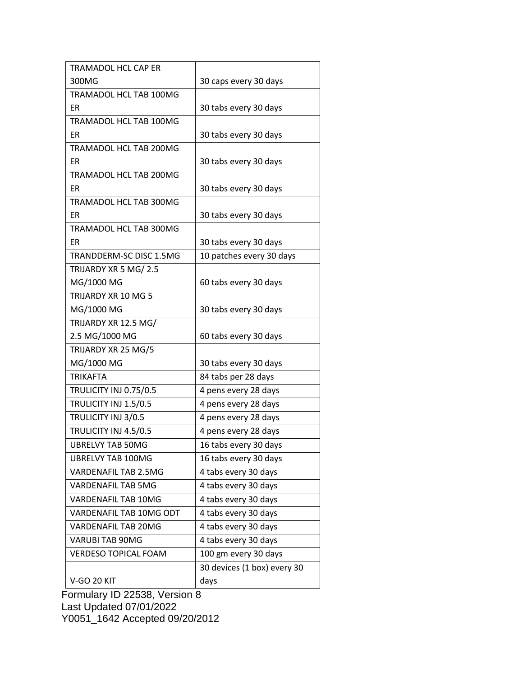| <b>TRAMADOL HCL CAP ER</b>    |                             |
|-------------------------------|-----------------------------|
| 300MG                         | 30 caps every 30 days       |
| TRAMADOL HCL TAB 100MG        |                             |
| <b>ER</b>                     | 30 tabs every 30 days       |
| TRAMADOL HCL TAB 100MG        |                             |
| ER                            | 30 tabs every 30 days       |
| TRAMADOL HCL TAB 200MG        |                             |
| <b>ER</b>                     | 30 tabs every 30 days       |
| TRAMADOL HCL TAB 200MG        |                             |
| <b>ER</b>                     | 30 tabs every 30 days       |
| TRAMADOL HCL TAB 300MG        |                             |
| ER                            | 30 tabs every 30 days       |
| TRAMADOL HCL TAB 300MG        |                             |
| <b>ER</b>                     | 30 tabs every 30 days       |
| TRANDDERM-SC DISC 1.5MG       | 10 patches every 30 days    |
| TRIJARDY XR 5 MG/ 2.5         |                             |
| MG/1000 MG                    | 60 tabs every 30 days       |
| TRIJARDY XR 10 MG 5           |                             |
| MG/1000 MG                    | 30 tabs every 30 days       |
| TRIJARDY XR 12.5 MG/          |                             |
| 2.5 MG/1000 MG                | 60 tabs every 30 days       |
| TRIJARDY XR 25 MG/5           |                             |
| MG/1000 MG                    | 30 tabs every 30 days       |
| <b>TRIKAFTA</b>               | 84 tabs per 28 days         |
| <b>TRULICITY INJ 0.75/0.5</b> | 4 pens every 28 days        |
| TRULICITY INJ 1.5/0.5         | 4 pens every 28 days        |
| TRULICITY INJ 3/0.5           | 4 pens every 28 days        |
| TRULICITY INJ 4.5/0.5         | 4 pens every 28 days        |
| <b>UBRELVY TAB 50MG</b>       | 16 tabs every 30 days       |
| <b>UBRELVY TAB 100MG</b>      | 16 tabs every 30 days       |
| <b>VARDENAFIL TAB 2.5MG</b>   | 4 tabs every 30 days        |
| <b>VARDENAFIL TAB 5MG</b>     | 4 tabs every 30 days        |
| VARDENAFIL TAB 10MG           | 4 tabs every 30 days        |
| VARDENAFIL TAB 10MG ODT       | 4 tabs every 30 days        |
| <b>VARDENAFIL TAB 20MG</b>    | 4 tabs every 30 days        |
| <b>VARUBI TAB 90MG</b>        | 4 tabs every 30 days        |
| <b>VERDESO TOPICAL FOAM</b>   | 100 gm every 30 days        |
|                               | 30 devices (1 box) every 30 |
| <b>V-GO 20 KIT</b>            | days                        |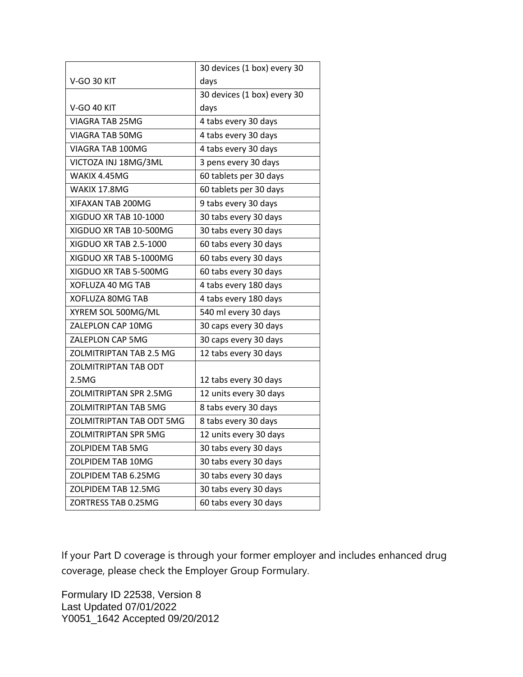|                                 | 30 devices (1 box) every 30 |
|---------------------------------|-----------------------------|
| <b>V-GO 30 KIT</b>              | days                        |
|                                 | 30 devices (1 box) every 30 |
| <b>V-GO 40 KIT</b>              | days                        |
| <b>VIAGRA TAB 25MG</b>          | 4 tabs every 30 days        |
| <b>VIAGRA TAB 50MG</b>          | 4 tabs every 30 days        |
| VIAGRA TAB 100MG                | 4 tabs every 30 days        |
| VICTOZA INJ 18MG/3ML            | 3 pens every 30 days        |
| WAKIX 4.45MG                    | 60 tablets per 30 days      |
| WAKIX 17.8MG                    | 60 tablets per 30 days      |
| XIFAXAN TAB 200MG               | 9 tabs every 30 days        |
| XIGDUO XR TAB 10-1000           | 30 tabs every 30 days       |
| XIGDUO XR TAB 10-500MG          | 30 tabs every 30 days       |
| XIGDUO XR TAB 2.5-1000          | 60 tabs every 30 days       |
| XIGDUO XR TAB 5-1000MG          | 60 tabs every 30 days       |
| XIGDUO XR TAB 5-500MG           | 60 tabs every 30 days       |
| XOFLUZA 40 MG TAB               | 4 tabs every 180 days       |
| XOFLUZA 80MG TAB                | 4 tabs every 180 days       |
| XYREM SOL 500MG/ML              | 540 ml every 30 days        |
| ZALEPLON CAP 10MG               | 30 caps every 30 days       |
| ZALEPLON CAP 5MG                | 30 caps every 30 days       |
| <b>ZOLMITRIPTAN TAB 2.5 MG</b>  | 12 tabs every 30 days       |
| <b>ZOLMITRIPTAN TAB ODT</b>     |                             |
| 2.5MG                           | 12 tabs every 30 days       |
| <b>ZOLMITRIPTAN SPR 2.5MG</b>   | 12 units every 30 days      |
| <b>ZOLMITRIPTAN TAB 5MG</b>     | 8 tabs every 30 days        |
| <b>ZOLMITRIPTAN TAB ODT 5MG</b> | 8 tabs every 30 days        |
| <b>ZOLMITRIPTAN SPR 5MG</b>     | 12 units every 30 days      |
| <b>ZOLPIDEM TAB 5MG</b>         | 30 tabs every 30 days       |
| ZOLPIDEM TAB 10MG               | 30 tabs every 30 days       |
| ZOLPIDEM TAB 6.25MG             | 30 tabs every 30 days       |
| ZOLPIDEM TAB 12.5MG             | 30 tabs every 30 days       |
| ZORTRESS TAB 0.25MG             | 60 tabs every 30 days       |

If your Part D coverage is through your former employer and includes enhanced drug coverage, please check the Employer Group Formulary.